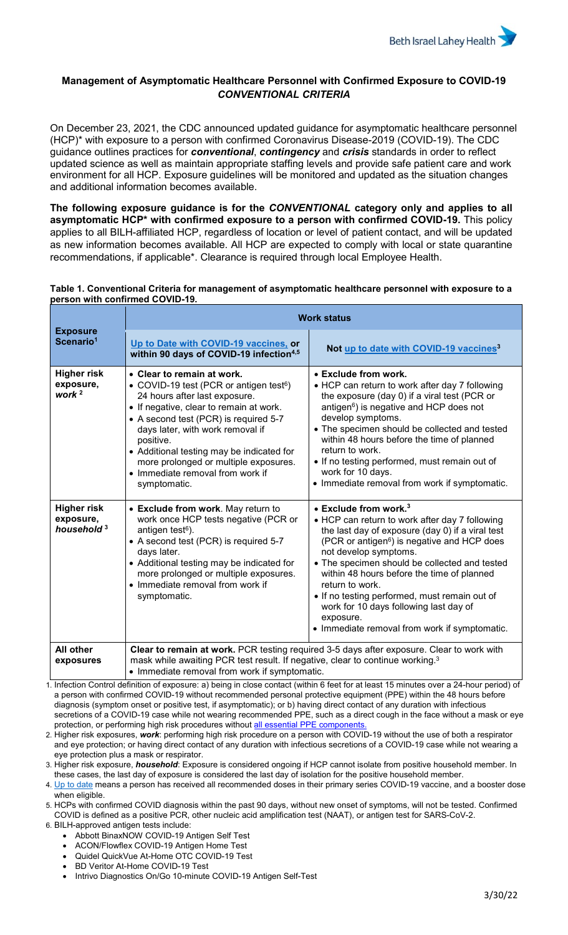

## **Management of Asymptomatic Healthcare Personnel with Confirmed Exposure to COVID-19** *CONVENTIONAL CRITERIA*

On December 23, 2021, the CDC announced updated guidance for asymptomatic healthcare personnel (HCP)\* with exposure to a person with confirmed Coronavirus Disease-2019 (COVID-19). The CDC guidance outlines practices for *conventional*, *contingency* and *crisis* standards in order to reflect updated science as well as maintain appropriate staffing levels and provide safe patient care and work environment for all HCP. Exposure guidelines will be monitored and updated as the situation changes and additional information becomes available.

**The following exposure guidance is for the** *CONVENTIONAL* **category only and applies to all asymptomatic HCP\* with confirmed exposure to a person with confirmed COVID-19.** This policy applies to all BILH-affiliated HCP, regardless of location or level of patient contact, and will be updated as new information becomes available. All HCP are expected to comply with local or state quarantine recommendations, if applicable\*. Clearance is required through local Employee Health.

| Table 1. Conventional Criteria for management of asymptomatic healthcare personnel with exposure to a |  |
|-------------------------------------------------------------------------------------------------------|--|
| person with confirmed COVID-19.                                                                       |  |

|                                                           | <b>Work status</b>                                                                                                                                                                                                                                                                                                                                                                                |                                                                                                                                                                                                                                                                                                                                                                                                                                                                                                                |  |
|-----------------------------------------------------------|---------------------------------------------------------------------------------------------------------------------------------------------------------------------------------------------------------------------------------------------------------------------------------------------------------------------------------------------------------------------------------------------------|----------------------------------------------------------------------------------------------------------------------------------------------------------------------------------------------------------------------------------------------------------------------------------------------------------------------------------------------------------------------------------------------------------------------------------------------------------------------------------------------------------------|--|
| <b>Exposure</b><br>Scenario <sup>1</sup>                  | Up to Date with COVID-19 vaccines, or<br>within 90 days of COVID-19 infection <sup>4,5</sup>                                                                                                                                                                                                                                                                                                      | Not up to date with COVID-19 vaccines <sup>3</sup>                                                                                                                                                                                                                                                                                                                                                                                                                                                             |  |
| <b>Higher risk</b><br>exposure,<br>work $^2$              | • Clear to remain at work.<br>• COVID-19 test (PCR or antigen test <sup>6</sup> )<br>24 hours after last exposure.<br>• If negative, clear to remain at work.<br>• A second test (PCR) is required 5-7<br>days later, with work removal if<br>positive.<br>• Additional testing may be indicated for<br>more prolonged or multiple exposures.<br>• Immediate removal from work if<br>symptomatic. | • Exclude from work.<br>• HCP can return to work after day 7 following<br>the exposure (day 0) if a viral test (PCR or<br>antigen <sup>6</sup> ) is negative and HCP does not<br>develop symptoms.<br>• The specimen should be collected and tested<br>within 48 hours before the time of planned<br>return to work.<br>• If no testing performed, must remain out of<br>work for 10 days.<br>• Immediate removal from work if symptomatic.                                                                    |  |
| <b>Higher risk</b><br>exposure,<br>household <sup>3</sup> | • Exclude from work. May return to<br>work once HCP tests negative (PCR or<br>antigen test <sup>6</sup> ).<br>• A second test (PCR) is required 5-7<br>days later.<br>• Additional testing may be indicated for<br>more prolonged or multiple exposures.<br>• Immediate removal from work if<br>symptomatic.                                                                                      | $\bullet$ Exclude from work. <sup>3</sup><br>• HCP can return to work after day 7 following<br>the last day of exposure (day 0) if a viral test<br>(PCR or antigen <sup>6</sup> ) is negative and HCP does<br>not develop symptoms.<br>• The specimen should be collected and tested<br>within 48 hours before the time of planned<br>return to work.<br>• If no testing performed, must remain out of<br>work for 10 days following last day of<br>exposure.<br>• Immediate removal from work if symptomatic. |  |
| All other<br>exposures                                    | Clear to remain at work. PCR testing required 3-5 days after exposure. Clear to work with<br>mask while awaiting PCR test result. If negative, clear to continue working. <sup>3</sup><br>• Immediate removal from work if symptomatic.                                                                                                                                                           |                                                                                                                                                                                                                                                                                                                                                                                                                                                                                                                |  |

1. Infection Control definition of exposure: a) being in close contact (within 6 feet for at least 15 minutes over a 24-hour period) of a person with confirmed COVID-19 without recommended personal protective equipment (PPE) within the 48 hours before diagnosis (symptom onset or positive test, if asymptomatic); or b) having direct contact of any duration with infectious secretions of a COVID-19 case while not wearing recommended PPE, such as a direct cough in the face without a mask or eye pro[t](https://covid-19.bilh.org/covid-19-materials/)ection, or performing high risk procedures without all essential PPE components

2. Higher risk exposures, *work*: performing high risk procedure on a person with COVID-19 without the use of both a respirator and eye protection; or having direct contact of any duration with infectious secretions of a COVID-19 case while not wearing a eye protection plus a mask or respirator.

3. Higher risk exposure, *household*: Exposure is considered ongoing if HCP cannot isolate from positive household member. In these cases, the last day of exposure is considered the last day of isolation for the positive household member.

4. Up to date means a person has received all recommended doses in their primary series COVID-19 vaccine, and a booster dose when eligible.

5. HCPs with confirmed COVID diagnosis within the past 90 days, without new onset of symptoms, will not be tested. Confirmed COVID is defined as a positive PCR, other nucleic acid amplification test (NAAT), or antigen test for SARS-CoV-2.

- 6. BILH-approved antigen tests include:
	- Abbott BinaxNOW COVID-19 Antigen Self Test
	- ACON/Flowflex COVID-19 Antigen Home Test
	- Quidel QuickVue At-Home OTC COVID-19 Test
	- BD Veritor At-Home COVID-19 Test
	- Intrivo Diagnostics On/Go 10-minute COVID-19 Antigen Self-Test